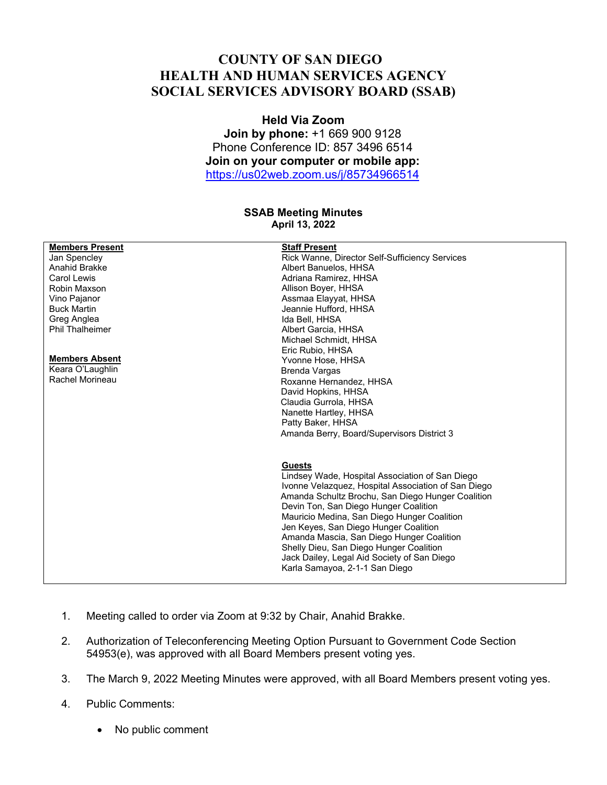## **COUNTY OF SAN DIEGO HEALTH AND HUMAN SERVICES AGENCY SOCIAL SERVICES ADVISORY BOARD (SSAB)**

## **Held Via Zoom**

**Join by phone:** +1 669 900 9128 Phone Conference ID: 857 3496 6514 **Join on your computer or mobile app:**  https://us02web.zoom.us/j/85734966514

## **SSAB Meeting Minutes April 13, 2022**

| <b>Members Present</b> | <b>Staff Present</b>                                |
|------------------------|-----------------------------------------------------|
| Jan Spencley           | Rick Wanne, Director Self-Sufficiency Services      |
| Anahid Brakke          | Albert Banuelos, HHSA                               |
| <b>Carol Lewis</b>     | Adriana Ramirez, HHSA                               |
| Robin Maxson           | Allison Boyer, HHSA                                 |
| Vino Pajanor           | Assmaa Elayyat, HHSA                                |
| <b>Buck Martin</b>     | Jeannie Hufford, HHSA                               |
| Greg Anglea            | Ida Bell, HHSA                                      |
| <b>Phil Thalheimer</b> | Albert Garcia, HHSA                                 |
|                        | Michael Schmidt, HHSA                               |
|                        | Eric Rubio, HHSA                                    |
| <b>Members Absent</b>  | Yvonne Hose, HHSA                                   |
| Keara O'Laughlin       | Brenda Vargas                                       |
| Rachel Morineau        | Roxanne Hernandez, HHSA                             |
|                        | David Hopkins, HHSA                                 |
|                        | Claudia Gurrola, HHSA                               |
|                        | Nanette Hartley, HHSA                               |
|                        | Patty Baker, HHSA                                   |
|                        | Amanda Berry, Board/Supervisors District 3          |
|                        | <b>Guests</b>                                       |
|                        | Lindsey Wade, Hospital Association of San Diego     |
|                        | Ivonne Velazquez, Hospital Association of San Diego |
|                        | Amanda Schultz Brochu, San Diego Hunger Coalition   |
|                        | Devin Ton, San Diego Hunger Coalition               |
|                        | Mauricio Medina, San Diego Hunger Coalition         |
|                        | Jen Keyes, San Diego Hunger Coalition               |
|                        | Amanda Mascia, San Diego Hunger Coalition           |
|                        | Shelly Dieu, San Diego Hunger Coalition             |
|                        | Jack Dailey, Legal Aid Society of San Diego         |
|                        | Karla Samayoa, 2-1-1 San Diego                      |
|                        |                                                     |

- 1. Meeting called to order via Zoom at 9:32 by Chair, Anahid Brakke.
- 2. Authorization of Teleconferencing Meeting Option Pursuant to Government Code Section 54953(e), was approved with all Board Members present voting yes.
- 3. The March 9, 2022 Meeting Minutes were approved, with all Board Members present voting yes.
- 4. Public Comments:
	- No public comment